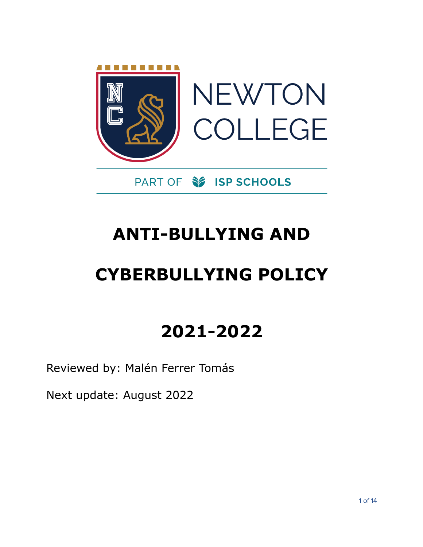

## PART OF **S** ISP SCHOOLS

## **ANTI-BULLYING AND**

# **CYBERBULLYING POLICY**

## **2021-2022**

Reviewed by: Malén Ferrer Tomás

Next update: August 2022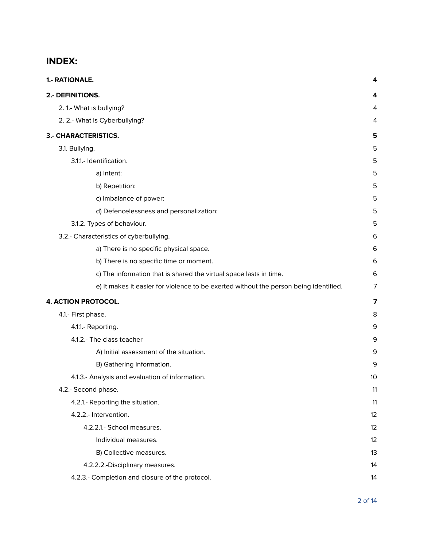## **INDEX:**

| 1.- RATIONALE.                                                                        | 4              |
|---------------------------------------------------------------------------------------|----------------|
| 2.- DEFINITIONS.                                                                      | 4              |
| 2. 1.- What is bullying?                                                              | 4              |
| 2. 2.- What is Cyberbullying?                                                         | 4              |
| 3.- CHARACTERISTICS.                                                                  | 5              |
| 3.1. Bullying.                                                                        | 5              |
| 3.1.1.- Identification.                                                               | 5              |
| a) Intent:                                                                            | 5              |
| b) Repetition:                                                                        | 5              |
| c) Imbalance of power:                                                                | 5              |
| d) Defencelessness and personalization:                                               | 5              |
| 3.1.2. Types of behaviour.                                                            | 5              |
| 3.2.- Characteristics of cyberbullying.                                               | 6              |
| a) There is no specific physical space.                                               | 6              |
| b) There is no specific time or moment.                                               | 6              |
| c) The information that is shared the virtual space lasts in time.                    | 6              |
| e) It makes it easier for violence to be exerted without the person being identified. | 7              |
| <b>4. ACTION PROTOCOL.</b>                                                            | $\overline{7}$ |
| 4.1.- First phase.                                                                    | 8              |
| 4.1.1.- Reporting.                                                                    | 9              |
| 4.1.2.- The class teacher                                                             | 9              |
| A) Initial assessment of the situation.                                               | 9              |
| B) Gathering information.                                                             | 9              |
| 4.1.3.- Analysis and evaluation of information.                                       | 10             |
| 4.2.- Second phase.                                                                   | 11             |
| 4.2.1.- Reporting the situation.                                                      | 11             |
| 4.2.2.- Intervention.                                                                 | 12             |
| 4.2.2.1.- School measures.                                                            | 12             |
| Individual measures.                                                                  | 12             |
| B) Collective measures.                                                               | 13             |
| 4.2.2.2.-Disciplinary measures.                                                       | 14             |
| 4.2.3.- Completion and closure of the protocol.                                       | 14             |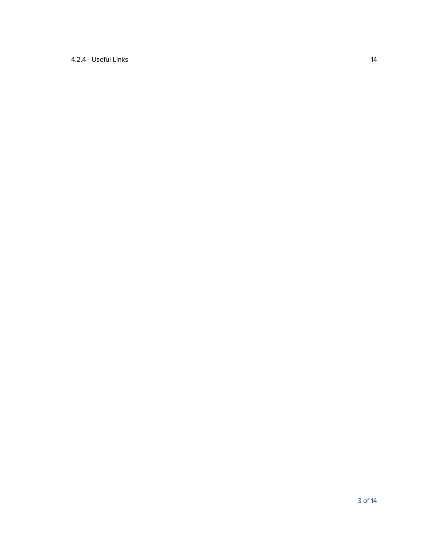## 4.2.4 - [Useful](#page-13-2) Links [14](#page-13-2)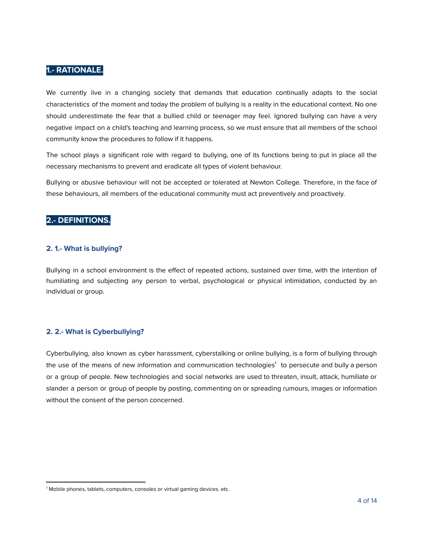## <span id="page-3-0"></span>**1.- RATIONALE.**

We currently live in a changing society that demands that education continually adapts to the social characteristics of the moment and today the problem of bullying is a reality in the educational context. No one should underestimate the fear that a bullied child or teenager may feel. Ignored bullying can have a very negative impact on a child's teaching and learning process, so we must ensure that all members of the school community know the procedures to follow if it happens.

The school plays a significant role with regard to bullying, one of its functions being to put in place all the necessary mechanisms to prevent and eradicate all types of violent behaviour.

Bullying or abusive behaviour will not be accepted or tolerated at Newton College. Therefore, in the face of these behaviours, all members of the educational community must act preventively and proactively.

## <span id="page-3-1"></span>**2.- DEFINITIONS.**

## <span id="page-3-2"></span>**2. 1.- What is bullying?**

Bullying in a school environment is the effect of repeated actions, sustained over time, with the intention of humiliating and subjecting any person to verbal, psychological or physical intimidation, conducted by an individual or group.

## <span id="page-3-3"></span>**2. 2.- What is Cyberbullying?**

Cyberbullying, also known as cyber harassment, cyberstalking or online bullying, is a form of bullying through the use of the means of new information and communication technologies<sup>1</sup> to persecute and bully a person or a group of people. New technologies and social networks are used to threaten, insult, attack, humiliate or slander a person or group of people by posting, commenting on or spreading rumours, images or information without the consent of the person concerned.

<sup>&</sup>lt;sup>1</sup> Mobile phones, tablets, computers, consoles or virtual gaming devices, etc.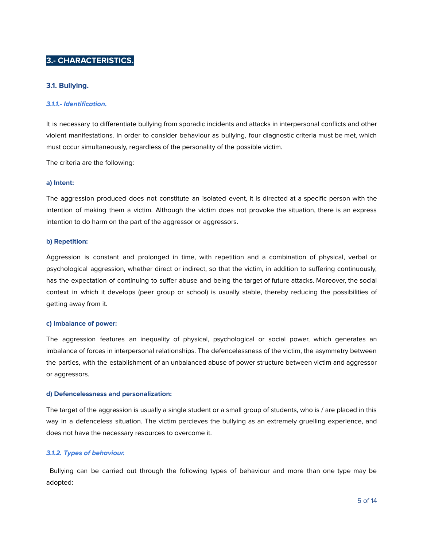## <span id="page-4-0"></span>**3.- CHARACTERISTICS.**

## <span id="page-4-1"></span>**3.1. Bullying.**

#### <span id="page-4-2"></span>**3.1.1.- Identification.**

It is necessary to differentiate bullying from sporadic incidents and attacks in interpersonal conflicts and other violent manifestations. In order to consider behaviour as bullying, four diagnostic criteria must be met, which must occur simultaneously, regardless of the personality of the possible victim.

The criteria are the following:

#### <span id="page-4-3"></span>**a) Intent:**

The aggression produced does not constitute an isolated event, it is directed at a specific person with the intention of making them a victim. Although the victim does not provoke the situation, there is an express intention to do harm on the part of the aggressor or aggressors.

#### <span id="page-4-4"></span>**b) Repetition:**

Aggression is constant and prolonged in time, with repetition and a combination of physical, verbal or psychological aggression, whether direct or indirect, so that the victim, in addition to suffering continuously, has the expectation of continuing to suffer abuse and being the target of future attacks. Moreover, the social context in which it develops (peer group or school) is usually stable, thereby reducing the possibilities of getting away from it.

#### <span id="page-4-5"></span>**c) Imbalance of power:**

The aggression features an inequality of physical, psychological or social power, which generates an imbalance of forces in interpersonal relationships. The defencelessness of the victim, the asymmetry between the parties, with the establishment of an unbalanced abuse of power structure between victim and aggressor or aggressors.

#### <span id="page-4-6"></span>**d) Defencelessness and personalization:**

The target of the aggression is usually a single student or a small group of students, who is / are placed in this way in a defenceless situation. The victim percieves the bullying as an extremely gruelling experience, and does not have the necessary resources to overcome it.

## <span id="page-4-7"></span>**3.1.2. Types of behaviour.**

Bullying can be carried out through the following types of behaviour and more than one type may be adopted: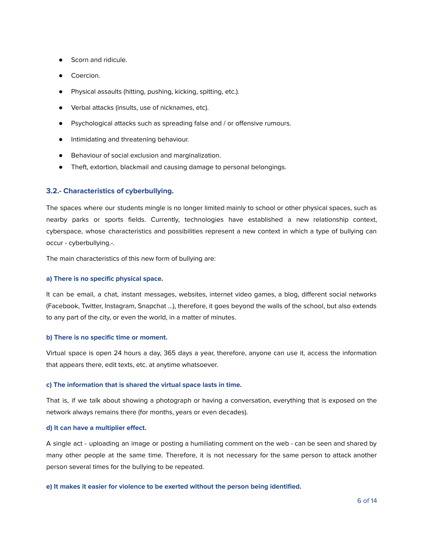- Scorn and ridicule.
- Coercion.
- Physical assaults (hitting, pushing, kicking, spitting, etc.).
- Verbal attacks (insults, use of nicknames, etc).
- Psychological attacks such as spreading false and / or offensive rumours.
- Intimidating and threatening behaviour.
- Behaviour of social exclusion and marginalization.
- Theft, extortion, blackmail and causing damage to personal belongings.

## <span id="page-5-0"></span>**3.2.- Characteristics of cyberbullying.**

The spaces where our students mingle is no longer limited mainly to school or other physical spaces, such as nearby parks or sports fields. Currently, technologies have established a new relationship context, cyberspace, whose characteristics and possibilities represent a new context in which a type of bullying can occur - cyberbullying.-.

The main characteristics of this new form of bullying are:

#### <span id="page-5-1"></span>**a) There is no specific physical space.**

It can be email, a chat, instant messages, websites, internet video games, a blog, different social networks (Facebook, Twitter, Instagram, Snapchat ...), therefore, it goes beyond the walls of the school, but also extends to any part of the city, or even the world, in a matter of minutes.

#### <span id="page-5-2"></span>**b) There is no specific time or moment.**

Virtual space is open 24 hours a day, 365 days a year, therefore, anyone can use it, access the information that appears there, edit texts, etc. at anytime whatsoever.

## <span id="page-5-3"></span>**c) The information that is shared the virtual space lasts in time.**

That is, if we talk about showing a photograph or having a conversation, everything that is exposed on the network always remains there (for months, years or even decades).

#### **d) It can have a multiplier effect.**

A single act - uploading an image or posting a humiliating comment on the web - can be seen and shared by many other people at the same time. Therefore, it is not necessary for the same person to attack another person several times for the bullying to be repeated.

## <span id="page-5-4"></span>**e) It makes it easier for violence to be exerted without the person being identified.**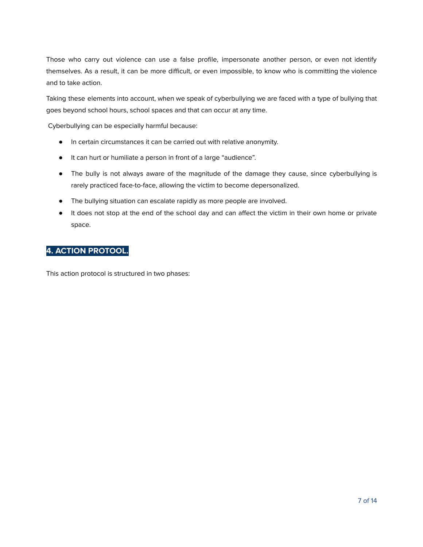Those who carry out violence can use a false profile, impersonate another person, or even not identify themselves. As a result, it can be more difficult, or even impossible, to know who is committing the violence and to take action.

Taking these elements into account, when we speak of cyberbullying we are faced with a type of bullying that goes beyond school hours, school spaces and that can occur at any time.

Cyberbullying can be especially harmful because:

- In certain circumstances it can be carried out with relative anonymity.
- It can hurt or humiliate a person in front of a large "audience".
- The bully is not always aware of the magnitude of the damage they cause, since cyberbullying is rarely practiced face-to-face, allowing the victim to become depersonalized.
- The bullying situation can escalate rapidly as more people are involved.
- It does not stop at the end of the school day and can affect the victim in their own home or private space.

## <span id="page-6-0"></span>**4. ACTION PROTOOL.**

This action protocol is structured in two phases: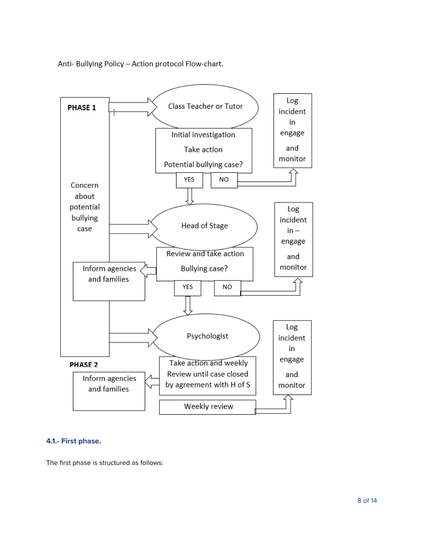Anti- Bullying Policy - Action protocol Flow-chart.



## <span id="page-7-0"></span>**4.1.- First phase.**

The first phase is structured as follows: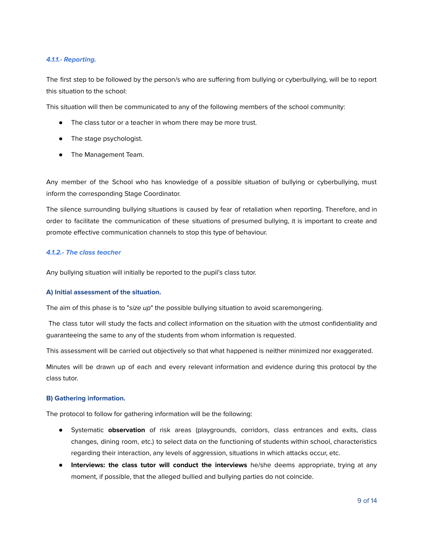## <span id="page-8-0"></span>**4.1.1.- Reporting.**

The first step to be followed by the person/s who are suffering from bullying or cyberbullying, will be to report this situation to the school:

This situation will then be communicated to any of the following members of the school community:

- The class tutor or a teacher in whom there may be more trust.
- The stage psychologist.
- The Management Team.

Any member of the School who has knowledge of a possible situation of bullying or cyberbullying, must inform the corresponding Stage Coordinator.

The silence surrounding bullying situations is caused by fear of retaliation when reporting. Therefore, and in order to facilitate the communication of these situations of presumed bullying, it is important to create and promote effective communication channels to stop this type of behaviour.

## <span id="page-8-1"></span>**4.1.2.- The class teacher**

Any bullying situation will initially be reported to the pupil's class tutor.

## <span id="page-8-2"></span>**A) Initial assessment of the situation.**

The aim of this phase is to "size up" the possible bullying situation to avoid scaremongering.

The class tutor will study the facts and collect information on the situation with the utmost confidentiality and guaranteeing the same to any of the students from whom information is requested.

This assessment will be carried out objectively so that what happened is neither minimized nor exaggerated.

Minutes will be drawn up of each and every relevant information and evidence during this protocol by the class tutor.

## <span id="page-8-3"></span>**B) Gathering information.**

The protocol to follow for gathering information will be the following:

- Systematic **observation** of risk areas (playgrounds, corridors, class entrances and exits, class changes, dining room, etc.) to select data on the functioning of students within school, characteristics regarding their interaction, any levels of aggression, situations in which attacks occur, etc.
- **Interviews: the class tutor will conduct the interviews** he/she deems appropriate, trying at any moment, if possible, that the alleged bullied and bullying parties do not coincide.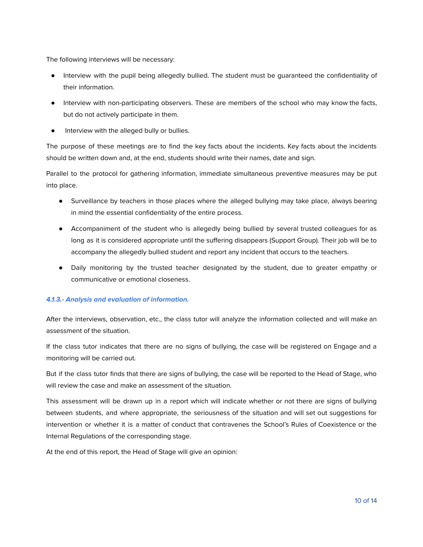The following interviews will be necessary:

- Interview with the pupil being allegedly bullied. The student must be guaranteed the confidentiality of their information.
- Interview with non-participating observers. These are members of the school who may know the facts, but do not actively participate in them.
- Interview with the alleged bully or bullies.

The purpose of these meetings are to find the key facts about the incidents. Key facts about the incidents should be written down and, at the end, students should write their names, date and sign.

Parallel to the protocol for gathering information, immediate simultaneous preventive measures may be put into place.

- Surveillance by teachers in those places where the alleged bullying may take place, always bearing in mind the essential confidentiality of the entire process.
- Accompaniment of the student who is allegedly being bullied by several trusted colleagues for as long as it is considered appropriate until the suffering disappears (Support Group). Their job will be to accompany the allegedly bullied student and report any incident that occurs to the teachers.
- Daily monitoring by the trusted teacher designated by the student, due to greater empathy or communicative or emotional closeness.

## <span id="page-9-0"></span>**4.1.3.- Analysis and evaluation of information.**

After the interviews, observation, etc., the class tutor will analyze the information collected and will make an assessment of the situation.

If the class tutor indicates that there are no signs of bullying, the case will be registered on Engage and a monitoring will be carried out.

But if the class tutor finds that there are signs of bullying, the case will be reported to the Head of Stage, who will review the case and make an assessment of the situation.

This assessment will be drawn up in a report which will indicate whether or not there are signs of bullying between students, and where appropriate, the seriousness of the situation and will set out suggestions for intervention or whether it is a matter of conduct that contravenes the School's Rules of Coexistence or the Internal Regulations of the corresponding stage.

At the end of this report, the Head of Stage will give an opinion: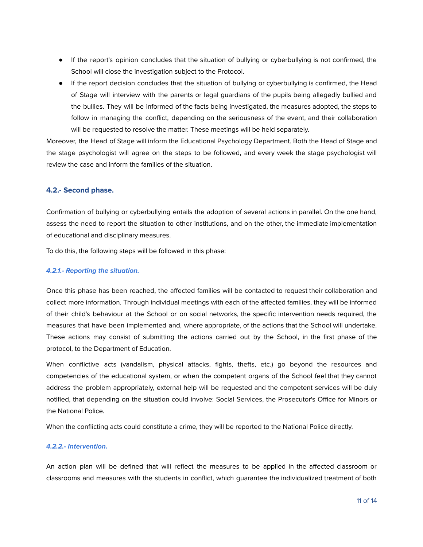- If the report's opinion concludes that the situation of bullying or cyberbullying is not confirmed, the School will close the investigation subject to the Protocol.
- If the report decision concludes that the situation of bullying or cyberbullying is confirmed, the Head of Stage will interview with the parents or legal guardians of the pupils being allegedly bullied and the bullies. They will be informed of the facts being investigated, the measures adopted, the steps to follow in managing the conflict, depending on the seriousness of the event, and their collaboration will be requested to resolve the matter. These meetings will be held separately.

Moreover, the Head of Stage will inform the Educational Psychology Department. Both the Head of Stage and the stage psychologist will agree on the steps to be followed, and every week the stage psychologist will review the case and inform the families of the situation.

## <span id="page-10-0"></span>**4.2.- Second phase.**

Confirmation of bullying or cyberbullying entails the adoption of several actions in parallel. On the one hand, assess the need to report the situation to other institutions, and on the other, the immediate implementation of educational and disciplinary measures.

To do this, the following steps will be followed in this phase:

## <span id="page-10-1"></span>**4.2.1.- Reporting the situation.**

Once this phase has been reached, the affected families will be contacted to request their collaboration and collect more information. Through individual meetings with each of the affected families, they will be informed of their child's behaviour at the School or on social networks, the specific intervention needs required, the measures that have been implemented and, where appropriate, of the actions that the School will undertake. These actions may consist of submitting the actions carried out by the School, in the first phase of the protocol, to the Department of Education.

When conflictive acts (vandalism, physical attacks, fights, thefts, etc.) go beyond the resources and competencies of the educational system, or when the competent organs of the School feel that they cannot address the problem appropriately, external help will be requested and the competent services will be duly notified, that depending on the situation could involve: Social Services, the Prosecutor's Office for Minors or the National Police.

When the conflicting acts could constitute a crime, they will be reported to the National Police directly.

## <span id="page-10-2"></span>**4.2.2.- Intervention.**

An action plan will be defined that will reflect the measures to be applied in the affected classroom or classrooms and measures with the students in conflict, which guarantee the individualized treatment of both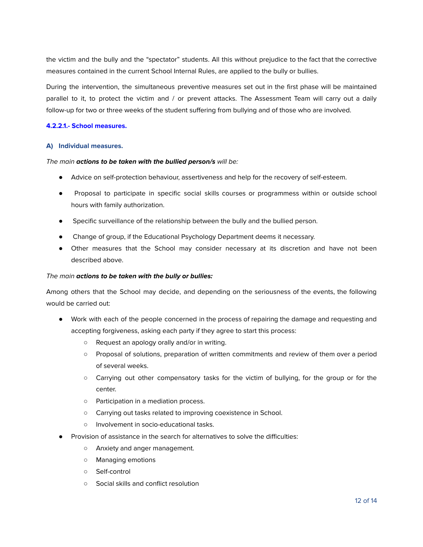the victim and the bully and the "spectator" students. All this without prejudice to the fact that the corrective measures contained in the current School Internal Rules, are applied to the bully or bullies.

During the intervention, the simultaneous preventive measures set out in the first phase will be maintained parallel to it, to protect the victim and / or prevent attacks. The Assessment Team will carry out a daily follow-up for two or three weeks of the student suffering from bullying and of those who are involved.

## <span id="page-11-0"></span>**4.2.2.1.- School measures.**

## <span id="page-11-1"></span>**A) Individual measures.**

## The main **actions to be taken with the bullied person/s** will be:

- Advice on self-protection behaviour, assertiveness and help for the recovery of self-esteem.
- Proposal to participate in specific social skills courses or programmess within or outside school hours with family authorization.
- Specific surveillance of the relationship between the bully and the bullied person.
- Change of group, if the Educational Psychology Department deems it necessary.
- Other measures that the School may consider necessary at its discretion and have not been described above.

## The main **actions to be taken with the bully or bullies:**

Among others that the School may decide, and depending on the seriousness of the events, the following would be carried out:

- Work with each of the people concerned in the process of repairing the damage and requesting and accepting forgiveness, asking each party if they agree to start this process:
	- Request an apology orally and/or in writing.
	- Proposal of solutions, preparation of written commitments and review of them over a period of several weeks.
	- Carrying out other compensatory tasks for the victim of bullying, for the group or for the center.
	- Participation in a mediation process.
	- Carrying out tasks related to improving coexistence in School.
	- Involvement in socio-educational tasks.
- Provision of assistance in the search for alternatives to solve the difficulties:
	- Anxiety and anger management.
	- Managing emotions
	- Self-control
	- Social skills and conflict resolution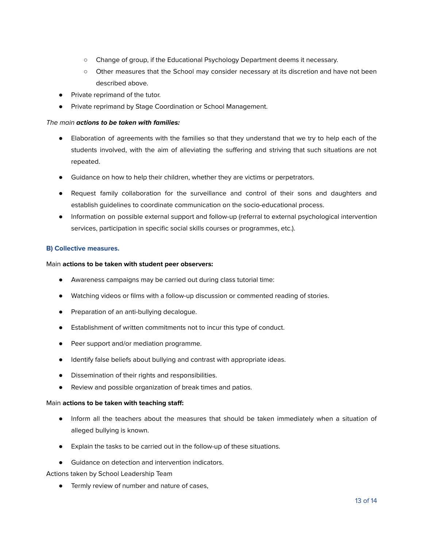- Change of group, if the Educational Psychology Department deems it necessary.
- Other measures that the School may consider necessary at its discretion and have not been described above.
- Private reprimand of the tutor.
- Private reprimand by Stage Coordination or School Management.

## The main **actions to be taken with families:**

- Elaboration of agreements with the families so that they understand that we try to help each of the students involved, with the aim of alleviating the suffering and striving that such situations are not repeated.
- Guidance on how to help their children, whether they are victims or perpetrators.
- Request family collaboration for the surveillance and control of their sons and daughters and establish guidelines to coordinate communication on the socio-educational process.
- Information on possible external support and follow-up (referral to external psychological intervention services, participation in specific social skills courses or programmes, etc.).

## <span id="page-12-0"></span>**B) Collective measures.**

## Main **actions to be taken with student peer observers:**

- Awareness campaigns may be carried out during class tutorial time:
- Watching videos or films with a follow-up discussion or commented reading of stories.
- Preparation of an anti-bullying decalogue.
- Establishment of written commitments not to incur this type of conduct.
- Peer support and/or mediation programme.
- Identify false beliefs about bullying and contrast with appropriate ideas.
- Dissemination of their rights and responsibilities.
- Review and possible organization of break times and patios.

## Main **actions to be taken with teaching staff:**

- Inform all the teachers about the measures that should be taken immediately when a situation of alleged bullying is known.
- Explain the tasks to be carried out in the follow-up of these situations.
- Guidance on detection and intervention indicators.

Actions taken by School Leadership Team

● Termly review of number and nature of cases,